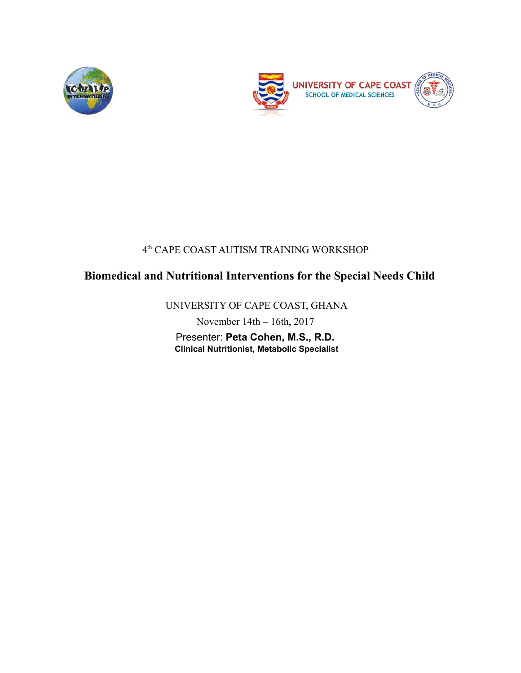



#### 4 th CAPE COAST AUTISM TRAINING WORKSHOP

# **Biomedical and Nutritional Interventions for the Special Needs Child**

UNIVERSITY OF CAPE COAST, GHANA

November 14th – 16th, 2017

Presenter: **Peta Cohen, M.S., R.D. Clinical Nutritionist, Metabolic Specialist**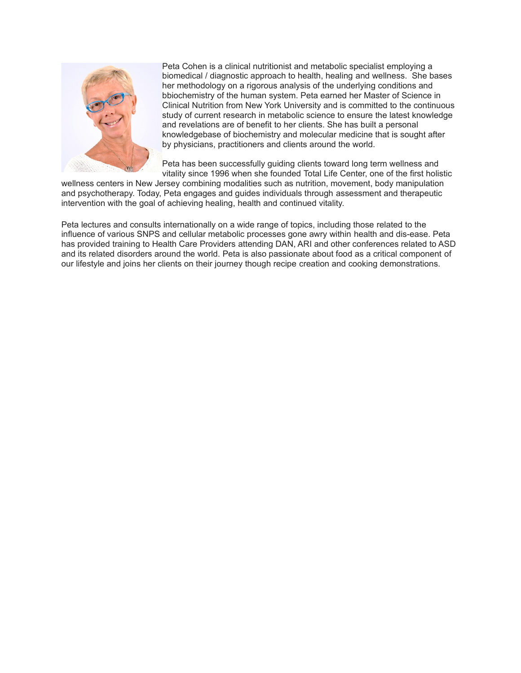

Peta Cohen is a clinical nutritionist and metabolic specialist employing a biomedical / diagnostic approach to health, healing and wellness. She bases her methodology on a rigorous analysis of the underlying conditions and bbiochemistry of the human system. Peta earned her Master of Science in Clinical Nutrition from New York University and is committed to the continuous study of current research in metabolic science to ensure the latest knowledge and revelations are of benefit to her clients. She has built a personal knowledgebase of biochemistry and molecular medicine that is sought after by physicians, practitioners and clients around the world.

Peta has been successfully guiding clients toward long term wellness and vitality since 1996 when she founded Total Life Center, one of the first holistic

wellness centers in New Jersey combining modalities such as nutrition, movement, body manipulation and psychotherapy. Today, Peta engages and guides individuals through assessment and therapeutic intervention with the goal of achieving healing, health and continued vitality.

Peta lectures and consults internationally on a wide range of topics, including those related to the influence of various SNPS and cellular metabolic processes gone awry within health and dis-ease. Peta has provided training to Health Care Providers attending DAN, ARI and other conferences related to ASD and its related disorders around the world. Peta is also passionate about food as a critical component of our lifestyle and joins her clients on their journey though recipe creation and cooking demonstrations.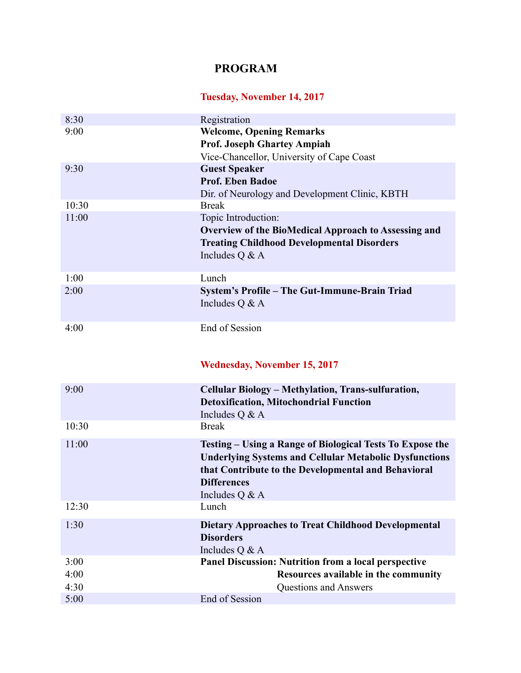## **PROGRAM**

## **Tuesday, November 14, 2017**

| 8:30  | Registration                                                  |
|-------|---------------------------------------------------------------|
| 9:00  | <b>Welcome, Opening Remarks</b>                               |
|       | <b>Prof. Joseph Ghartey Ampiah</b>                            |
|       | Vice-Chancellor, University of Cape Coast                     |
| 9:30  | <b>Guest Speaker</b>                                          |
|       | Prof. Eben Badoe                                              |
|       | Dir. of Neurology and Development Clinic, KBTH                |
| 10:30 | <b>Break</b>                                                  |
| 11:00 | Topic Introduction:                                           |
|       | <b>Overview of the BioMedical Approach to Assessing and</b>   |
|       | <b>Treating Childhood Developmental Disorders</b>             |
|       | Includes Q & A                                                |
|       |                                                               |
| 1:00  | Lunch                                                         |
| 2:00  | System's Profile – The Gut-Immune-Brain Triad                 |
|       | Includes Q & A                                                |
|       | End of Session                                                |
| 4:00  |                                                               |
|       |                                                               |
|       | <b>Wednesday, November 15, 2017</b>                           |
|       |                                                               |
| 9:00  | Cellular Biology - Methylation, Trans-sulfuration,            |
|       | <b>Detoxification, Mitochondrial Function</b>                 |
|       | Includes Q & A                                                |
| 10:30 | <b>Break</b>                                                  |
| 11:00 | Testing – Using a Range of Biological Tests To Expose the     |
|       | <b>Underlying Systems and Cellular Metabolic Dysfunctions</b> |
|       | that Contribute to the Developmental and Behavioral           |
|       | <b>Differences</b>                                            |
|       | Includes Q & A                                                |
| 12:30 | Lunch                                                         |
| 1:30  | <b>Dietary Approaches to Treat Childhood Developmental</b>    |
|       | <b>Disorders</b>                                              |
|       | Includes Q & A                                                |
|       |                                                               |
| 3:00  | <b>Panel Discussion: Nutrition from a local perspective</b>   |
| 4:00  | Resources available in the community                          |
| 4:30  | Questions and Answers                                         |